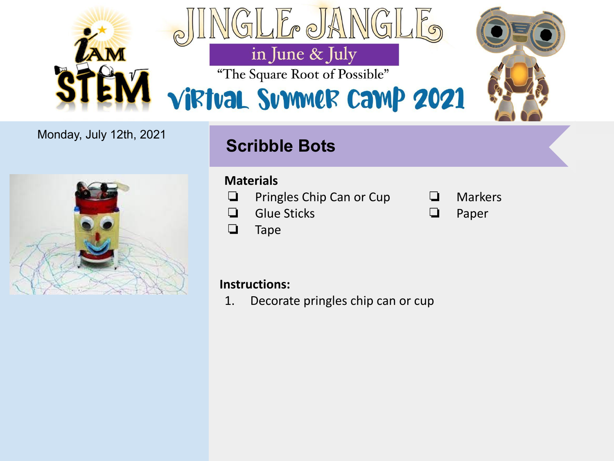

### Monday, July 12th, 2021

# **Scribble Bots**



#### **Strawberry Extraction Investigation Investigation Materials**

- ❏ Pringles Chip Can or Cup
- ad Strawberry (1990)<br>De ❏ Glue Sticks
- ng 1 tbsp of dish soap.<br>Dish soap ❏ Tape

### ❏ Markers

 $\Box$  2 tbsp of cold rubbing  $\Box$ ❏ Paper

# **Instructions:**

1. Decorate pringles chip can or cup  $\alpha$  1 clear plastic cup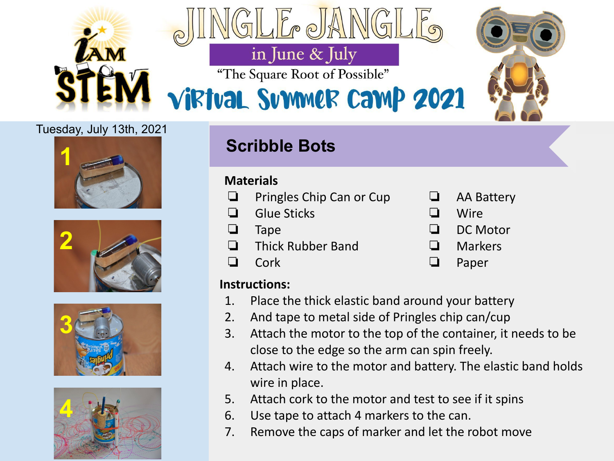

#### Tuesday, July 13th, 2021









# **Scribble Bots**

#### **Strawberry Extraction Investigation Materials**

- ❏ Pringles Chip Can or Cup
- ad Strawberry (1990)<br>De ❏ Glue Sticks
- ❏ Tape
- **□** Thick Rubber Band
- $\mathsf{rk}$  to be a salt of salt  $\mathsf{rk}$ ❏ Cork

# **Instructions:**

- 1. Place the thick elastic band around your battery
- 2. And tape to metal side of Pringles chip can/cup
- 1. Put strawberry with a 2. Attach the motor to the top of the container, it needs to be close to the edge so the arm can spin freely.
- 2. In a plastic cup with 2 teaspoons of dish solutions of the salt, and 1/2 cup of the salt, and 1/2 cup of sa 4. Attach wire to the motor and battery. The elastic band holds 3. Place a coffee filter inside a plastic cup, open the bag and pour mixture through the wire in place.
	- $\blacksquare$  5. Attach cork to the motor and test to see if it spins
- **4. Pour cold rubbing allenges** altrach 4 markers to the can.
- Figure 2012 is a spoon and the caps of marker and let the robot move
- ❏ AA Battery
- ❏ Wire
- $\nabla$  DC Motor
	- **□** Markers
- ❏ 1 coffee filter ❏ Paper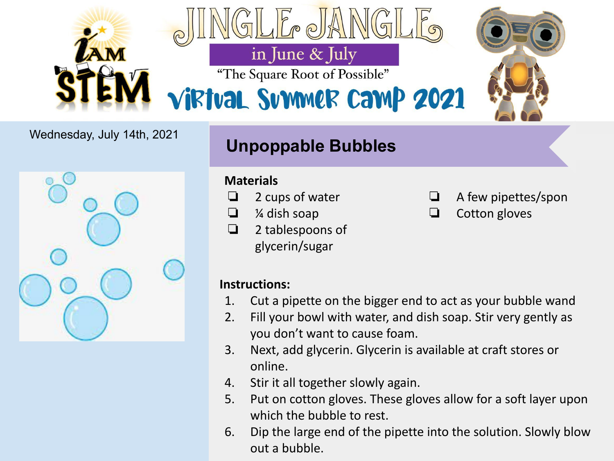

### Wednesday, July 14th, 2021



# **Unpoppable Bubbles**

### **Materials**

- ❏ 2 cups of water
- ❏ ¼ dish soap
- $\Box$  2 tablespoons of glycerin/sugar
- ❏ A few pipettes/spon
- $\Box$  2 tbsp of cold rubbing  $\Box$ ❏ Cotton gloves

# **Instructions:**

- 1. Cut a pipette on the bigger end to act as your bubble wand
- **1. Put strawberry without leaves in a Ziploc bag and gently crush, make sure not to to to to to to to to to to** 2. Fill your bowl with water, and dish soap. Stir very gently as
- $\begin{array}{ccc} & & & \cdot & \\ & 2 & & \text{N}_\text{ON} \end{array}$ 3. Next, add glycerin. Glycerin is available at craft stores or water. Additional into the  $\mathcal{L}$ online.
- 3. Place a place a plane the bag and pour mixture through the bag and pour mixture through the bag and pour mixture through the bag and pour mixture through the bag and pour mixture through the bag and pour mixture through
- 5. Put on cotton gloves. These gloves allow for a soft layer upon which the bubble to rest.
- 5. Dip the large end of the pipette into the solution. Slowly blow out a bubble.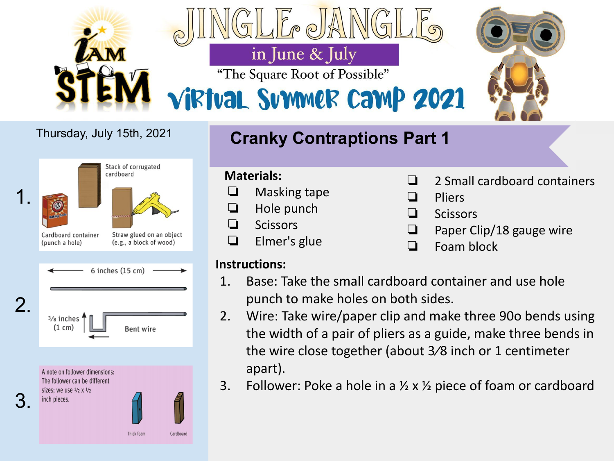

#### Stack of corrugated cardboard 1.  $\mathcal{L}$ and the explanation based on the contract of the contract of the contract of the contract of the contract of the contract of the contract of the contract of the contract of the contract of the contract of the contract of t Cardboard container Straw glued on an object (e.g., a block of wood) (punch a hole)  $6$  inches  $(15$  cm) the essential functions of 2. specialized cells.  $(1 \text{ cm})$ Bent wire A note on follower dimensions: The follower can be different sizes: we use  $\frac{1}{2} \times \frac{1}{2}$ 3.inch pieces. Thick foam

Cardboard

# Thursday, July 15th, 2021 **Cranky Contraptions Part 1**

# **Strawberry Extraction Investigation**<br> **Strawberry Extraction Investigation**<br> **Strawberry Extraction**

- ❏ Masking tape
- ❏ Hole punch
- ❏ 1 strawberry ❏ Scissors
- ❏ 1 tbsp of dish soap ❏ Elmer's glue

#### $\mathsf{ns:}\quad$ **Instructions:**

- 1. Base: Take the small cardboard container and use hole punch to make holes on both sides.
- **the width of a pair of pliers as a guide, make three bends in**  $thc$ the wire close together (about 3/8 inch or 1 centimeter  $\blacksquare$  apart). Add this liquid into the Ziploc bag and mix  $\blacksquare$ 2. Wire: Take wire/paper clip and make three 90o bends using
- 3. Follower: Poke a hole in a  $\frac{1}{2}$  x  $\frac{1}{2}$  piece of foam or cardboard
- ❏ 2 Small cardboard containers
- **Pliers**
- ❏ Scissors
- □ 20100010<br>□ Paper Clip/18 gauge wire
- **□** Foam block